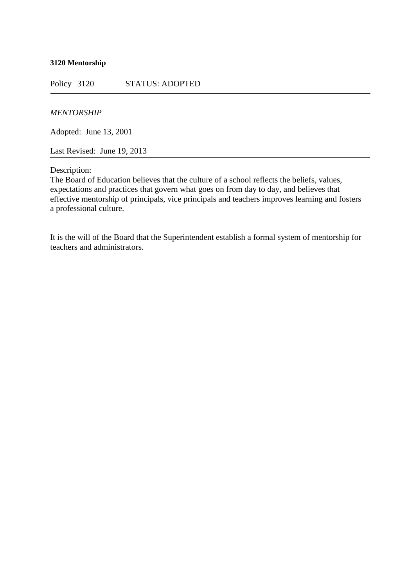## **3120 Mentorship**

Policy 3120 STATUS: ADOPTED

## *MENTORSHIP*

Adopted: June 13, 2001

Last Revised: June 19, 2013

Description:

The Board of Education believes that the culture of a school reflects the beliefs, values, expectations and practices that govern what goes on from day to day, and believes that effective mentorship of principals, vice principals and teachers improves learning and fosters a professional culture.

It is the will of the Board that the Superintendent establish a formal system of mentorship for teachers and administrators.